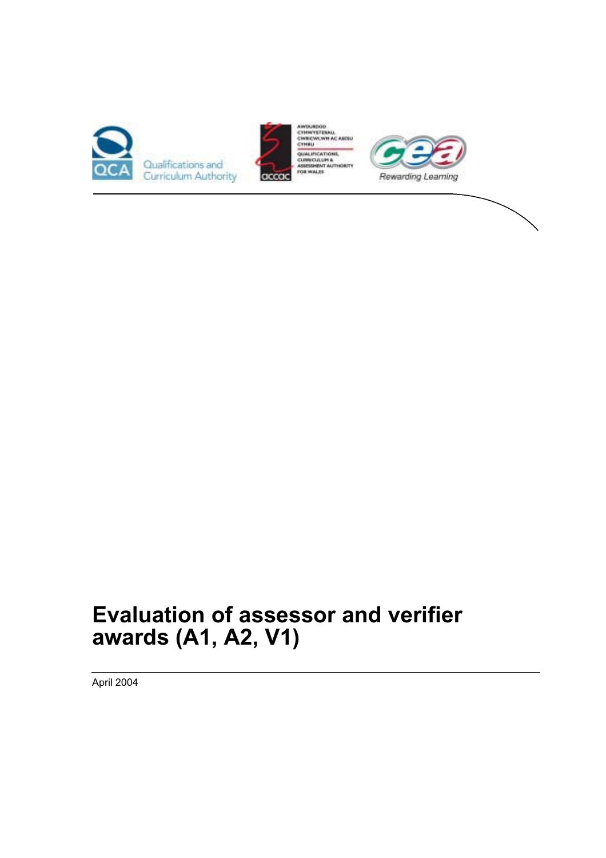





# **Evaluation of assessor and verifier awards (A1, A2, V1)**

April 2004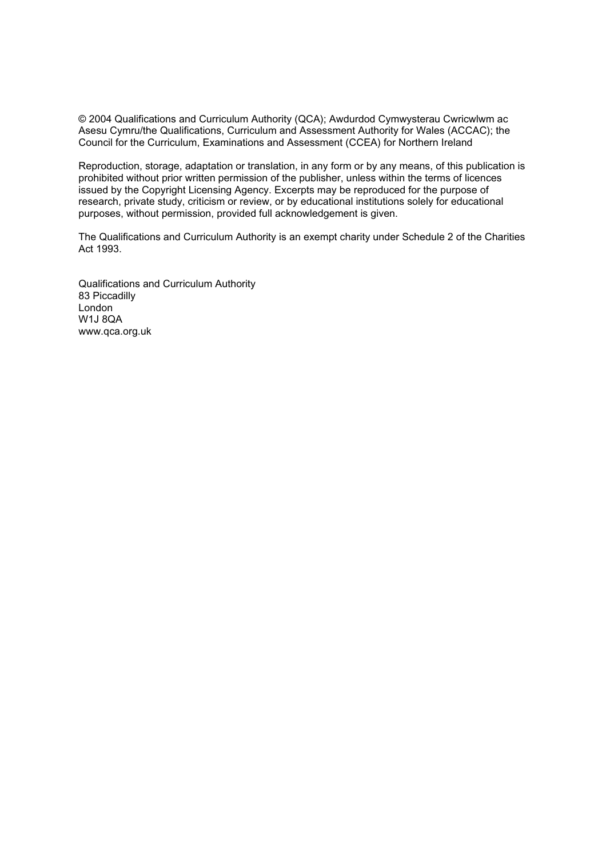© 2004 Qualifications and Curriculum Authority (QCA); Awdurdod Cymwysterau Cwricwlwm ac Asesu Cymru/the Qualifications, Curriculum and Assessment Authority for Wales (ACCAC); the Council for the Curriculum, Examinations and Assessment (CCEA) for Northern Ireland

Reproduction, storage, adaptation or translation, in any form or by any means, of this publication is prohibited without prior written permission of the publisher, unless within the terms of licences issued by the Copyright Licensing Agency. Excerpts may be reproduced for the purpose of research, private study, criticism or review, or by educational institutions solely for educational purposes, without permission, provided full acknowledgement is given.

The Qualifications and Curriculum Authority is an exempt charity under Schedule 2 of the Charities Act 1993.

Qualifications and Curriculum Authority 83 Piccadilly London W1J 8QA www.qca.org.uk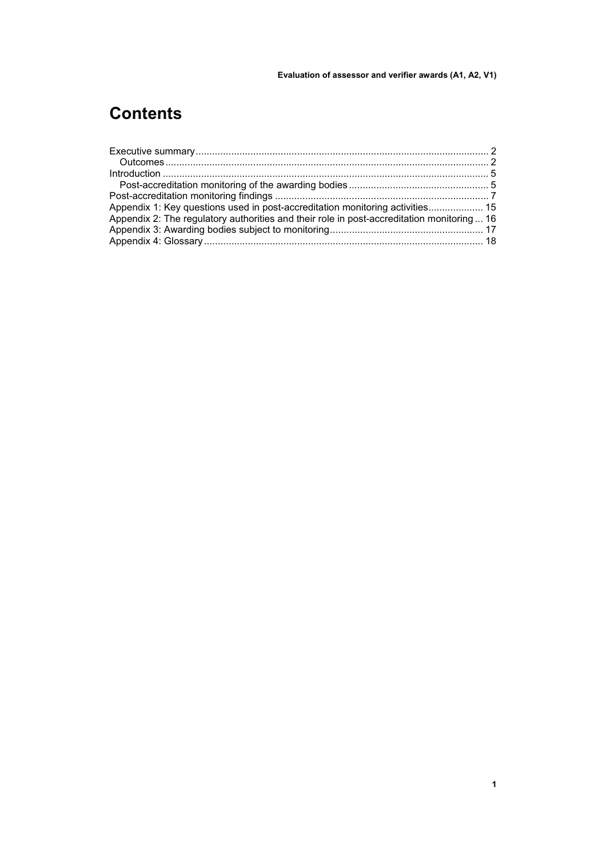## **Contents**

| Appendix 1: Key questions used in post-accreditation monitoring activities 15              |  |
|--------------------------------------------------------------------------------------------|--|
| Appendix 2: The regulatory authorities and their role in post-accreditation monitoring  16 |  |
|                                                                                            |  |
|                                                                                            |  |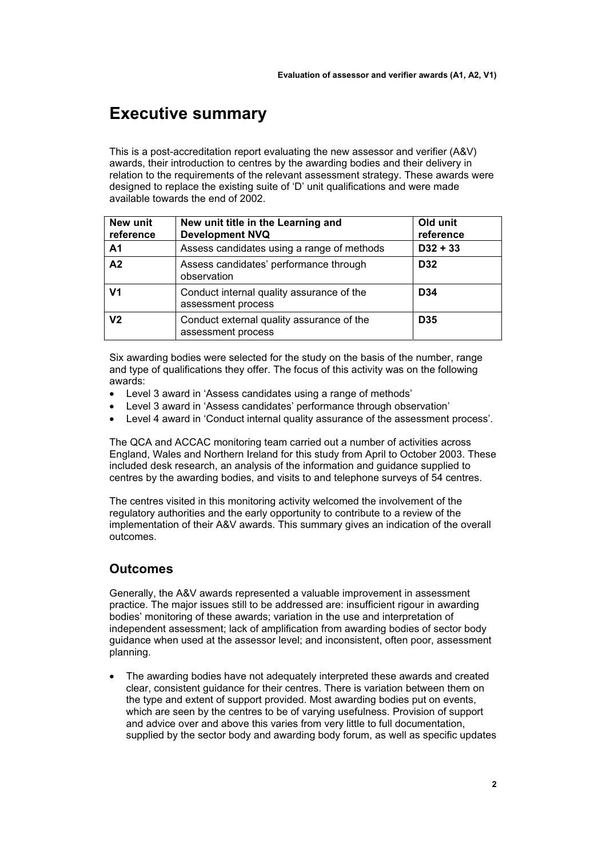### **Executive summary**

This is a post-accreditation report evaluating the new assessor and verifier (A&V) awards, their introduction to centres by the awarding bodies and their delivery in relation to the requirements of the relevant assessment strategy. These awards were designed to replace the existing suite of 'D' unit qualifications and were made available towards the end of 2002.

| New unit<br>reference | New unit title in the Learning and<br><b>Development NVQ</b>    | Old unit<br>reference |
|-----------------------|-----------------------------------------------------------------|-----------------------|
| A <sub>1</sub>        | Assess candidates using a range of methods                      | $D32 + 33$            |
| A <sub>2</sub>        | Assess candidates' performance through<br>observation           | D <sub>32</sub>       |
| V <sub>1</sub>        | Conduct internal quality assurance of the<br>assessment process | D <sub>34</sub>       |
| V <sub>2</sub>        | Conduct external quality assurance of the<br>assessment process | D <sub>35</sub>       |

Six awarding bodies were selected for the study on the basis of the number, range and type of qualifications they offer. The focus of this activity was on the following awards:

- Level 3 award in 'Assess candidates using a range of methods'
- Level 3 award in 'Assess candidates' performance through observation'
- Level 4 award in 'Conduct internal quality assurance of the assessment process'.

The QCA and ACCAC monitoring team carried out a number of activities across England, Wales and Northern Ireland for this study from April to October 2003. These included desk research, an analysis of the information and guidance supplied to centres by the awarding bodies, and visits to and telephone surveys of 54 centres.

The centres visited in this monitoring activity welcomed the involvement of the regulatory authorities and the early opportunity to contribute to a review of the implementation of their A&V awards. This summary gives an indication of the overall outcomes.

### **Outcomes**

Generally, the A&V awards represented a valuable improvement in assessment practice. The major issues still to be addressed are: insufficient rigour in awarding bodies' monitoring of these awards; variation in the use and interpretation of independent assessment; lack of amplification from awarding bodies of sector body guidance when used at the assessor level; and inconsistent, often poor, assessment planning.

• The awarding bodies have not adequately interpreted these awards and created clear, consistent guidance for their centres. There is variation between them on the type and extent of support provided. Most awarding bodies put on events, which are seen by the centres to be of varying usefulness. Provision of support and advice over and above this varies from very little to full documentation, supplied by the sector body and awarding body forum, as well as specific updates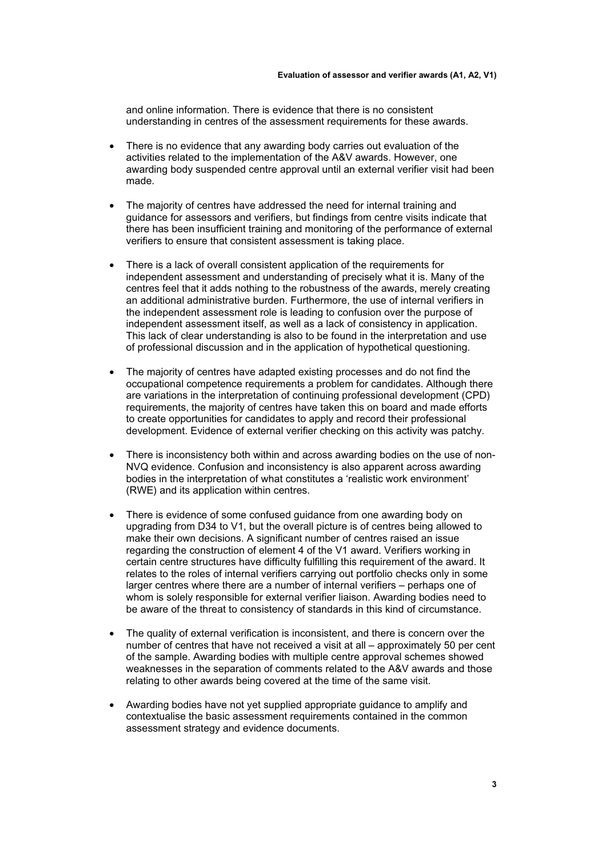and online information. There is evidence that there is no consistent understanding in centres of the assessment requirements for these awards.

- There is no evidence that any awarding body carries out evaluation of the activities related to the implementation of the A&V awards. However, one awarding body suspended centre approval until an external verifier visit had been made.
- The majority of centres have addressed the need for internal training and guidance for assessors and verifiers, but findings from centre visits indicate that there has been insufficient training and monitoring of the performance of external verifiers to ensure that consistent assessment is taking place.
- There is a lack of overall consistent application of the requirements for independent assessment and understanding of precisely what it is. Many of the centres feel that it adds nothing to the robustness of the awards, merely creating an additional administrative burden. Furthermore, the use of internal verifiers in the independent assessment role is leading to confusion over the purpose of independent assessment itself, as well as a lack of consistency in application. This lack of clear understanding is also to be found in the interpretation and use of professional discussion and in the application of hypothetical questioning.
- The majority of centres have adapted existing processes and do not find the occupational competence requirements a problem for candidates. Although there are variations in the interpretation of continuing professional development (CPD) requirements, the majority of centres have taken this on board and made efforts to create opportunities for candidates to apply and record their professional development. Evidence of external verifier checking on this activity was patchy.
- There is inconsistency both within and across awarding bodies on the use of non-NVQ evidence. Confusion and inconsistency is also apparent across awarding bodies in the interpretation of what constitutes a 'realistic work environment' (RWE) and its application within centres.
- There is evidence of some confused guidance from one awarding body on upgrading from D34 to V1, but the overall picture is of centres being allowed to make their own decisions. A significant number of centres raised an issue regarding the construction of element 4 of the V1 award. Verifiers working in certain centre structures have difficulty fulfilling this requirement of the award. It relates to the roles of internal verifiers carrying out portfolio checks only in some larger centres where there are a number of internal verifiers – perhaps one of whom is solely responsible for external verifier liaison. Awarding bodies need to be aware of the threat to consistency of standards in this kind of circumstance.
- The quality of external verification is inconsistent, and there is concern over the number of centres that have not received a visit at all – approximately 50 per cent of the sample. Awarding bodies with multiple centre approval schemes showed weaknesses in the separation of comments related to the A&V awards and those relating to other awards being covered at the time of the same visit.
- Awarding bodies have not yet supplied appropriate guidance to amplify and contextualise the basic assessment requirements contained in the common assessment strategy and evidence documents.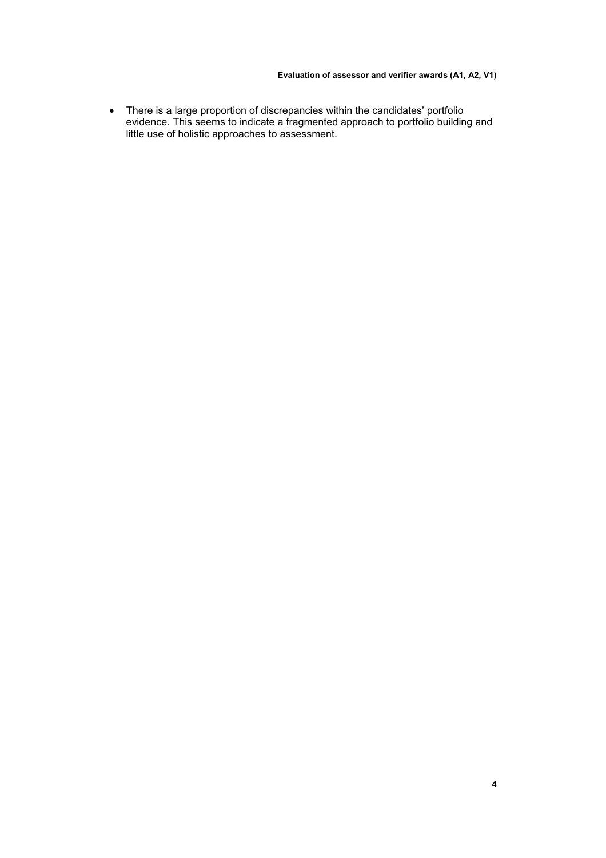• There is a large proportion of discrepancies within the candidates' portfolio evidence. This seems to indicate a fragmented approach to portfolio building and little use of holistic approaches to assessment.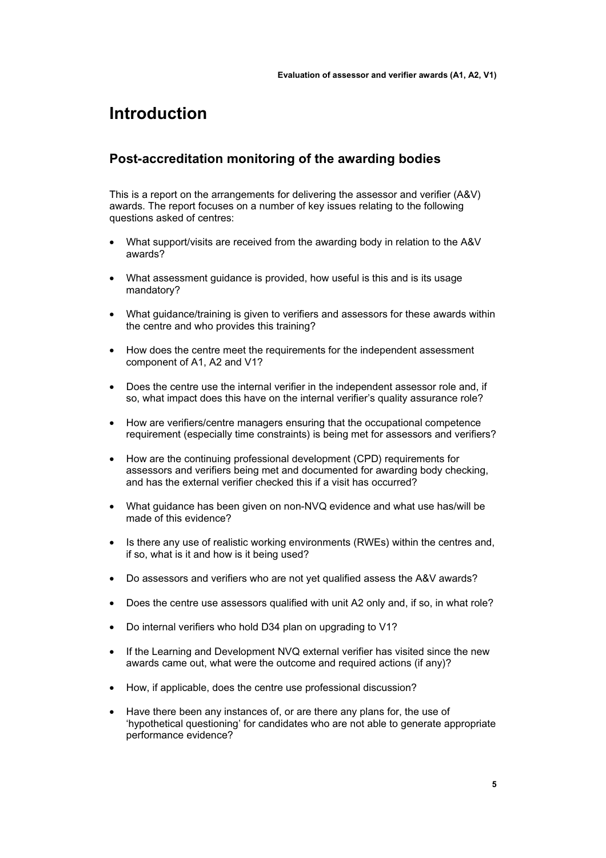### **Introduction**

### **Post-accreditation monitoring of the awarding bodies**

This is a report on the arrangements for delivering the assessor and verifier (A&V) awards. The report focuses on a number of key issues relating to the following questions asked of centres:

- What support/visits are received from the awarding body in relation to the A&V awards?
- What assessment guidance is provided, how useful is this and is its usage mandatory?
- What guidance/training is given to verifiers and assessors for these awards within the centre and who provides this training?
- How does the centre meet the requirements for the independent assessment component of A1, A2 and V1?
- Does the centre use the internal verifier in the independent assessor role and, if so, what impact does this have on the internal verifier's quality assurance role?
- How are verifiers/centre managers ensuring that the occupational competence requirement (especially time constraints) is being met for assessors and verifiers?
- How are the continuing professional development (CPD) requirements for assessors and verifiers being met and documented for awarding body checking, and has the external verifier checked this if a visit has occurred?
- What guidance has been given on non-NVQ evidence and what use has/will be made of this evidence?
- Is there any use of realistic working environments (RWEs) within the centres and, if so, what is it and how is it being used?
- Do assessors and verifiers who are not yet qualified assess the A&V awards?
- Does the centre use assessors qualified with unit A2 only and, if so, in what role?
- Do internal verifiers who hold D34 plan on upgrading to V1?
- If the Learning and Development NVQ external verifier has visited since the new awards came out, what were the outcome and required actions (if any)?
- How, if applicable, does the centre use professional discussion?
- Have there been any instances of, or are there any plans for, the use of 'hypothetical questioning' for candidates who are not able to generate appropriate performance evidence?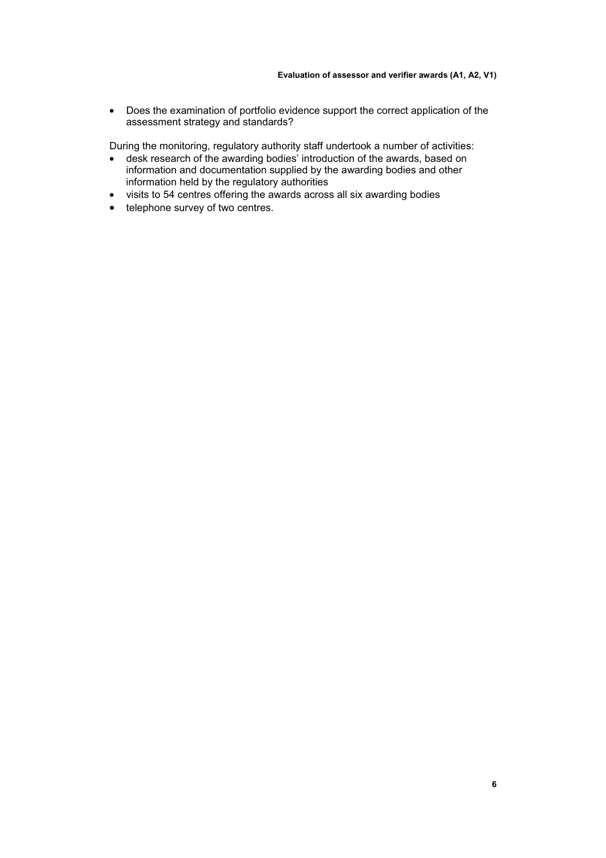• Does the examination of portfolio evidence support the correct application of the assessment strategy and standards?

During the monitoring, regulatory authority staff undertook a number of activities:

- desk research of the awarding bodies' introduction of the awards, based on information and documentation supplied by the awarding bodies and other information held by the regulatory authorities
- visits to 54 centres offering the awards across all six awarding bodies<br>• telephone survey of two centres.
- telephone survey of two centres.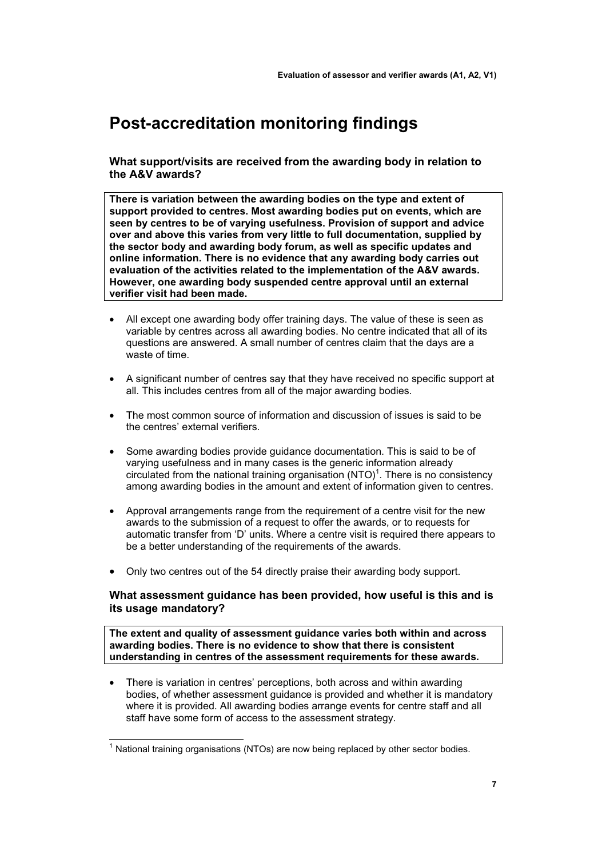### **Post-accreditation monitoring findings**

**What support/visits are received from the awarding body in relation to the A&V awards?** 

**There is variation between the awarding bodies on the type and extent of support provided to centres. Most awarding bodies put on events, which are seen by centres to be of varying usefulness. Provision of support and advice over and above this varies from very little to full documentation, supplied by the sector body and awarding body forum, as well as specific updates and online information. There is no evidence that any awarding body carries out evaluation of the activities related to the implementation of the A&V awards. However, one awarding body suspended centre approval until an external verifier visit had been made.** 

- All except one awarding body offer training days. The value of these is seen as variable by centres across all awarding bodies. No centre indicated that all of its questions are answered. A small number of centres claim that the days are a waste of time.
- A significant number of centres say that they have received no specific support at all. This includes centres from all of the major awarding bodies.
- The most common source of information and discussion of issues is said to be the centres' external verifiers.
- Some awarding bodies provide guidance documentation. This is said to be of varying usefulness and in many cases is the generic information already circulated from the national training organisation  $(NTO)^1$ . There is no consistency among awarding bodies in the amount and extent of information given to centres.
- Approval arrangements range from the requirement of a centre visit for the new awards to the submission of a request to offer the awards, or to requests for automatic transfer from 'D' units. Where a centre visit is required there appears to be a better understanding of the requirements of the awards.
- Only two centres out of the 54 directly praise their awarding body support.

#### **What assessment guidance has been provided, how useful is this and is its usage mandatory?**

**The extent and quality of assessment guidance varies both within and across awarding bodies. There is no evidence to show that there is consistent understanding in centres of the assessment requirements for these awards.** 

• There is variation in centres' perceptions, both across and within awarding bodies, of whether assessment guidance is provided and whether it is mandatory where it is provided. All awarding bodies arrange events for centre staff and all staff have some form of access to the assessment strategy.

 $\overline{a}$ 

 $1$  National training organisations (NTOs) are now being replaced by other sector bodies.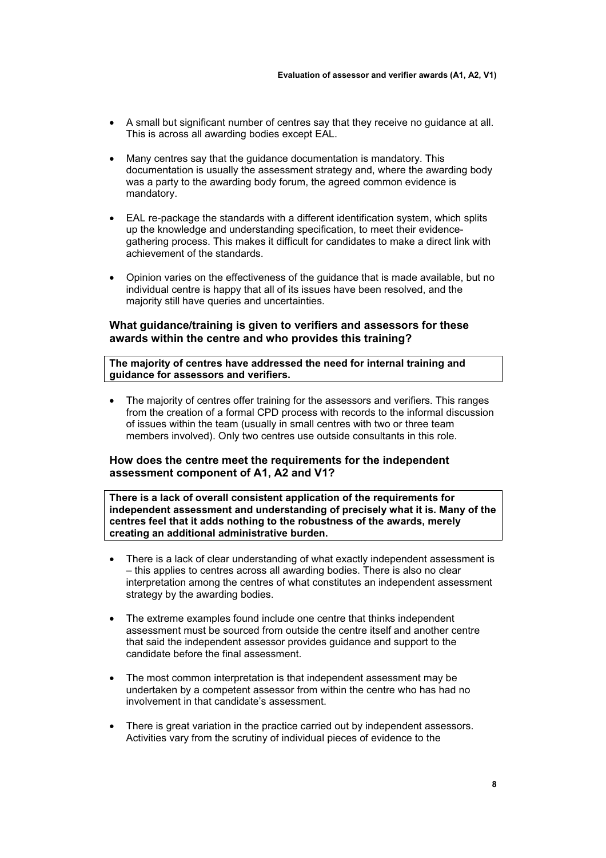- A small but significant number of centres say that they receive no guidance at all. This is across all awarding bodies except EAL.
- Many centres say that the guidance documentation is mandatory. This documentation is usually the assessment strategy and, where the awarding body was a party to the awarding body forum, the agreed common evidence is mandatory.
- EAL re-package the standards with a different identification system, which splits up the knowledge and understanding specification, to meet their evidencegathering process. This makes it difficult for candidates to make a direct link with achievement of the standards.
- Opinion varies on the effectiveness of the guidance that is made available, but no individual centre is happy that all of its issues have been resolved, and the majority still have queries and uncertainties.

#### **What guidance/training is given to verifiers and assessors for these awards within the centre and who provides this training?**

#### **The majority of centres have addressed the need for internal training and guidance for assessors and verifiers.**

• The majority of centres offer training for the assessors and verifiers. This ranges from the creation of a formal CPD process with records to the informal discussion of issues within the team (usually in small centres with two or three team members involved). Only two centres use outside consultants in this role.

#### **How does the centre meet the requirements for the independent assessment component of A1, A2 and V1?**

**There is a lack of overall consistent application of the requirements for independent assessment and understanding of precisely what it is. Many of the centres feel that it adds nothing to the robustness of the awards, merely creating an additional administrative burden.** 

- There is a lack of clear understanding of what exactly independent assessment is – this applies to centres across all awarding bodies. There is also no clear interpretation among the centres of what constitutes an independent assessment strategy by the awarding bodies.
- The extreme examples found include one centre that thinks independent assessment must be sourced from outside the centre itself and another centre that said the independent assessor provides guidance and support to the candidate before the final assessment.
- The most common interpretation is that independent assessment may be undertaken by a competent assessor from within the centre who has had no involvement in that candidate's assessment.
- There is great variation in the practice carried out by independent assessors. Activities vary from the scrutiny of individual pieces of evidence to the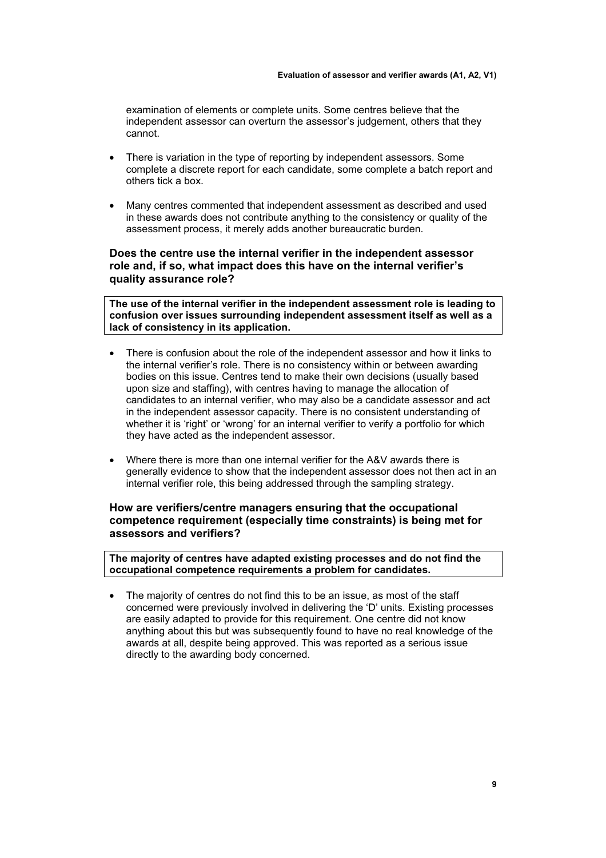examination of elements or complete units. Some centres believe that the independent assessor can overturn the assessor's judgement, others that they cannot.

- There is variation in the type of reporting by independent assessors. Some complete a discrete report for each candidate, some complete a batch report and others tick a box.
- Many centres commented that independent assessment as described and used in these awards does not contribute anything to the consistency or quality of the assessment process, it merely adds another bureaucratic burden.

#### **Does the centre use the internal verifier in the independent assessor role and, if so, what impact does this have on the internal verifier's quality assurance role?**

**The use of the internal verifier in the independent assessment role is leading to confusion over issues surrounding independent assessment itself as well as a lack of consistency in its application.** 

- There is confusion about the role of the independent assessor and how it links to the internal verifier's role. There is no consistency within or between awarding bodies on this issue. Centres tend to make their own decisions (usually based upon size and staffing), with centres having to manage the allocation of candidates to an internal verifier, who may also be a candidate assessor and act in the independent assessor capacity. There is no consistent understanding of whether it is 'right' or 'wrong' for an internal verifier to verify a portfolio for which they have acted as the independent assessor.
- Where there is more than one internal verifier for the A&V awards there is generally evidence to show that the independent assessor does not then act in an internal verifier role, this being addressed through the sampling strategy.

#### **How are verifiers/centre managers ensuring that the occupational competence requirement (especially time constraints) is being met for assessors and verifiers?**

**The majority of centres have adapted existing processes and do not find the occupational competence requirements a problem for candidates.** 

The majority of centres do not find this to be an issue, as most of the staff concerned were previously involved in delivering the 'D' units. Existing processes are easily adapted to provide for this requirement. One centre did not know anything about this but was subsequently found to have no real knowledge of the awards at all, despite being approved. This was reported as a serious issue directly to the awarding body concerned.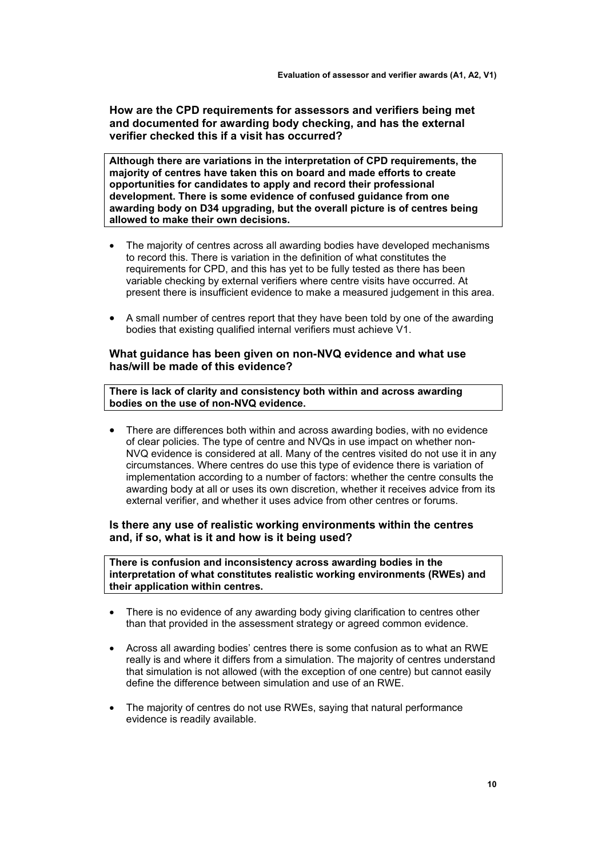**How are the CPD requirements for assessors and verifiers being met and documented for awarding body checking, and has the external verifier checked this if a visit has occurred?** 

**Although there are variations in the interpretation of CPD requirements, the majority of centres have taken this on board and made efforts to create opportunities for candidates to apply and record their professional development. There is some evidence of confused guidance from one awarding body on D34 upgrading, but the overall picture is of centres being allowed to make their own decisions.** 

- The majority of centres across all awarding bodies have developed mechanisms to record this. There is variation in the definition of what constitutes the requirements for CPD, and this has yet to be fully tested as there has been variable checking by external verifiers where centre visits have occurred. At present there is insufficient evidence to make a measured judgement in this area.
- A small number of centres report that they have been told by one of the awarding bodies that existing qualified internal verifiers must achieve V1.

#### **What guidance has been given on non-NVQ evidence and what use has/will be made of this evidence?**

**There is lack of clarity and consistency both within and across awarding bodies on the use of non-NVQ evidence.** 

There are differences both within and across awarding bodies, with no evidence of clear policies. The type of centre and NVQs in use impact on whether non-NVQ evidence is considered at all. Many of the centres visited do not use it in any circumstances. Where centres do use this type of evidence there is variation of implementation according to a number of factors: whether the centre consults the awarding body at all or uses its own discretion, whether it receives advice from its external verifier, and whether it uses advice from other centres or forums.

#### **Is there any use of realistic working environments within the centres and, if so, what is it and how is it being used?**

**There is confusion and inconsistency across awarding bodies in the interpretation of what constitutes realistic working environments (RWEs) and their application within centres.** 

- There is no evidence of any awarding body giving clarification to centres other than that provided in the assessment strategy or agreed common evidence.
- Across all awarding bodies' centres there is some confusion as to what an RWE really is and where it differs from a simulation. The majority of centres understand that simulation is not allowed (with the exception of one centre) but cannot easily define the difference between simulation and use of an RWE.
- The majority of centres do not use RWEs, saying that natural performance evidence is readily available.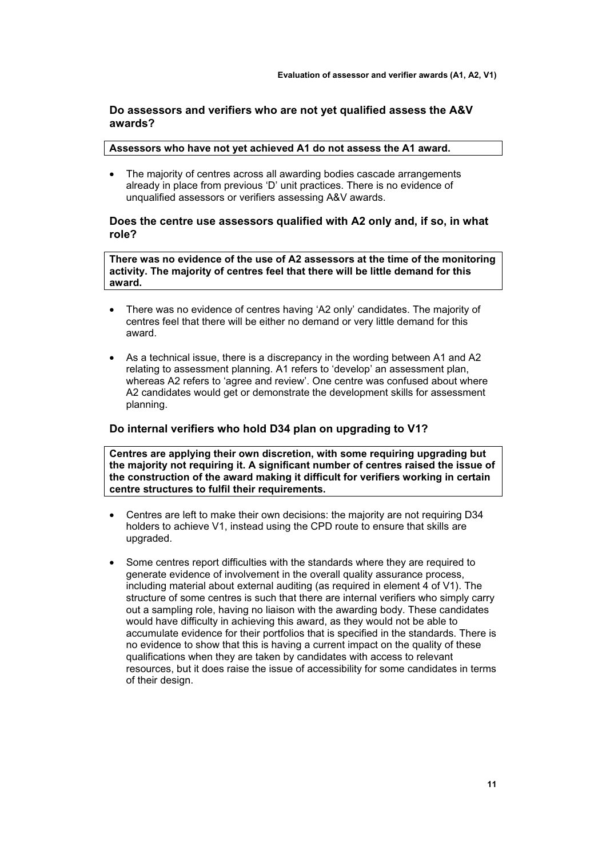#### **Do assessors and verifiers who are not yet qualified assess the A&V awards?**

#### **Assessors who have not yet achieved A1 do not assess the A1 award.**

• The majority of centres across all awarding bodies cascade arrangements already in place from previous 'D' unit practices. There is no evidence of unqualified assessors or verifiers assessing A&V awards.

#### **Does the centre use assessors qualified with A2 only and, if so, in what role?**

**There was no evidence of the use of A2 assessors at the time of the monitoring activity. The majority of centres feel that there will be little demand for this award.** 

- There was no evidence of centres having 'A2 only' candidates. The majority of centres feel that there will be either no demand or very little demand for this award.
- As a technical issue, there is a discrepancy in the wording between A1 and A2 relating to assessment planning. A1 refers to 'develop' an assessment plan, whereas A2 refers to 'agree and review'. One centre was confused about where A2 candidates would get or demonstrate the development skills for assessment planning.

#### **Do internal verifiers who hold D34 plan on upgrading to V1?**

**Centres are applying their own discretion, with some requiring upgrading but the majority not requiring it. A significant number of centres raised the issue of the construction of the award making it difficult for verifiers working in certain centre structures to fulfil their requirements.**

- Centres are left to make their own decisions: the majority are not requiring D34 holders to achieve V1, instead using the CPD route to ensure that skills are upgraded.
- Some centres report difficulties with the standards where they are required to generate evidence of involvement in the overall quality assurance process, including material about external auditing (as required in element 4 of V1). The structure of some centres is such that there are internal verifiers who simply carry out a sampling role, having no liaison with the awarding body. These candidates would have difficulty in achieving this award, as they would not be able to accumulate evidence for their portfolios that is specified in the standards. There is no evidence to show that this is having a current impact on the quality of these qualifications when they are taken by candidates with access to relevant resources, but it does raise the issue of accessibility for some candidates in terms of their design.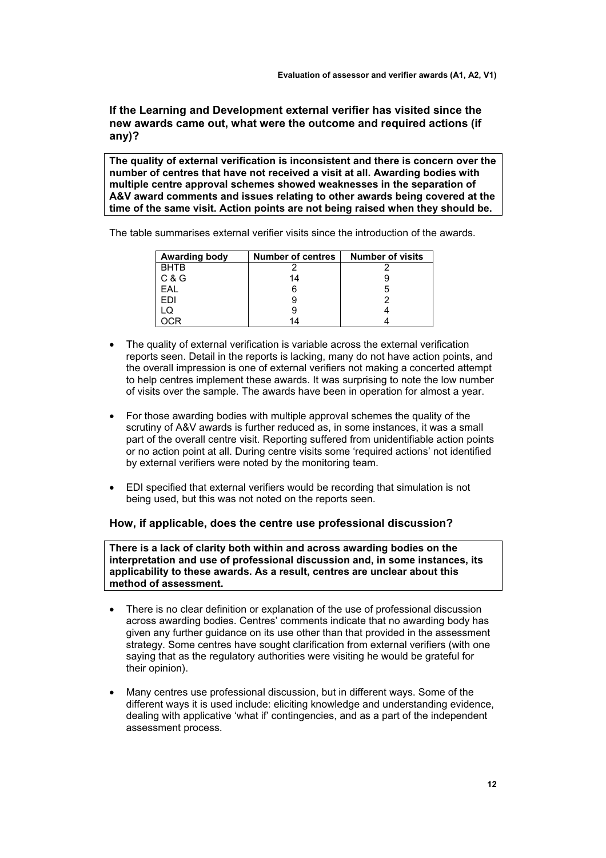**If the Learning and Development external verifier has visited since the new awards came out, what were the outcome and required actions (if any)?** 

**The quality of external verification is inconsistent and there is concern over the number of centres that have not received a visit at all. Awarding bodies with multiple centre approval schemes showed weaknesses in the separation of A&V award comments and issues relating to other awards being covered at the time of the same visit. Action points are not being raised when they should be.** 

The table summarises external verifier visits since the introduction of the awards.

| <b>Awarding body</b> | <b>Number of centres</b> | <b>Number of visits</b> |
|----------------------|--------------------------|-------------------------|
| <b>BHTB</b>          |                          |                         |
| C & G                | 14                       |                         |
| EAL                  |                          | :C                      |
| <b>FDI</b>           |                          |                         |
| LQ                   |                          |                         |
|                      |                          |                         |

- The quality of external verification is variable across the external verification reports seen. Detail in the reports is lacking, many do not have action points, and the overall impression is one of external verifiers not making a concerted attempt to help centres implement these awards. It was surprising to note the low number of visits over the sample. The awards have been in operation for almost a year.
- For those awarding bodies with multiple approval schemes the quality of the scrutiny of A&V awards is further reduced as, in some instances, it was a small part of the overall centre visit. Reporting suffered from unidentifiable action points or no action point at all. During centre visits some 'required actions' not identified by external verifiers were noted by the monitoring team.
- EDI specified that external verifiers would be recording that simulation is not being used, but this was not noted on the reports seen.

#### **How, if applicable, does the centre use professional discussion?**

**There is a lack of clarity both within and across awarding bodies on the interpretation and use of professional discussion and, in some instances, its applicability to these awards. As a result, centres are unclear about this method of assessment.** 

- There is no clear definition or explanation of the use of professional discussion across awarding bodies. Centres' comments indicate that no awarding body has given any further guidance on its use other than that provided in the assessment strategy. Some centres have sought clarification from external verifiers (with one saying that as the regulatory authorities were visiting he would be grateful for their opinion).
- Many centres use professional discussion, but in different ways. Some of the different ways it is used include: eliciting knowledge and understanding evidence, dealing with applicative 'what if' contingencies, and as a part of the independent assessment process.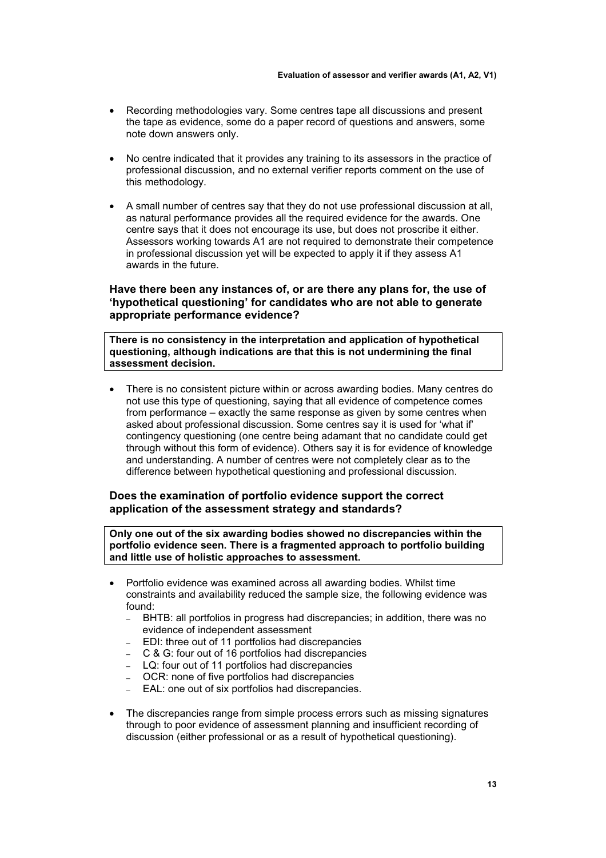- Recording methodologies vary. Some centres tape all discussions and present the tape as evidence, some do a paper record of questions and answers, some note down answers only.
- No centre indicated that it provides any training to its assessors in the practice of professional discussion, and no external verifier reports comment on the use of this methodology.
- A small number of centres say that they do not use professional discussion at all, as natural performance provides all the required evidence for the awards. One centre says that it does not encourage its use, but does not proscribe it either. Assessors working towards A1 are not required to demonstrate their competence in professional discussion yet will be expected to apply it if they assess A1 awards in the future.

#### **Have there been any instances of, or are there any plans for, the use of 'hypothetical questioning' for candidates who are not able to generate appropriate performance evidence?**

**There is no consistency in the interpretation and application of hypothetical questioning, although indications are that this is not undermining the final assessment decision.** 

• There is no consistent picture within or across awarding bodies. Many centres do not use this type of questioning, saying that all evidence of competence comes from performance – exactly the same response as given by some centres when asked about professional discussion. Some centres say it is used for 'what if' contingency questioning (one centre being adamant that no candidate could get through without this form of evidence). Others say it is for evidence of knowledge and understanding. A number of centres were not completely clear as to the difference between hypothetical questioning and professional discussion.

#### **Does the examination of portfolio evidence support the correct application of the assessment strategy and standards?**

**Only one out of the six awarding bodies showed no discrepancies within the portfolio evidence seen. There is a fragmented approach to portfolio building and little use of holistic approaches to assessment.**

- Portfolio evidence was examined across all awarding bodies. Whilst time constraints and availability reduced the sample size, the following evidence was found:
	- BHTB: all portfolios in progress had discrepancies; in addition, there was no evidence of independent assessment
	- EDI: three out of 11 portfolios had discrepancies
	- C & G: four out of 16 portfolios had discrepancies
	- LQ: four out of 11 portfolios had discrepancies
	- OCR: none of five portfolios had discrepancies
	- EAL: one out of six portfolios had discrepancies.
- The discrepancies range from simple process errors such as missing signatures through to poor evidence of assessment planning and insufficient recording of discussion (either professional or as a result of hypothetical questioning).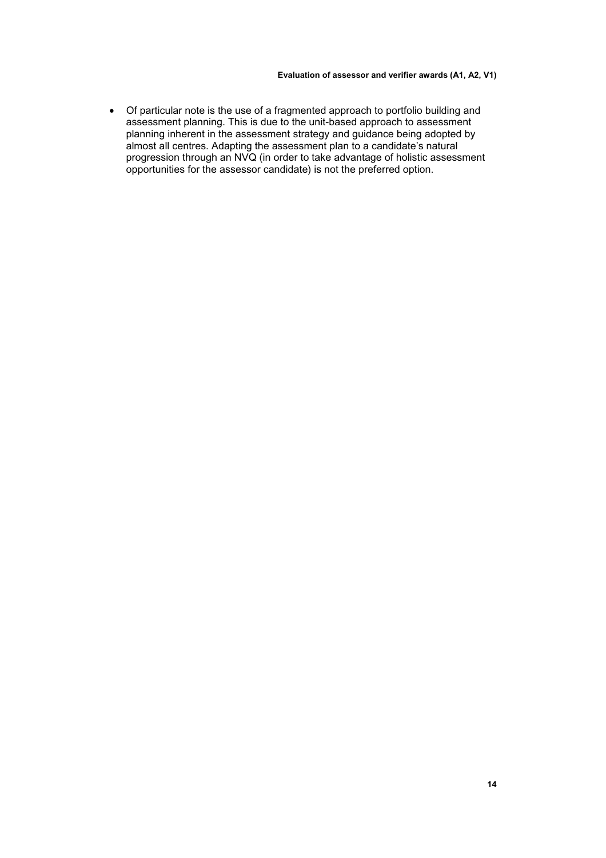• Of particular note is the use of a fragmented approach to portfolio building and assessment planning. This is due to the unit-based approach to assessment planning inherent in the assessment strategy and guidance being adopted by almost all centres. Adapting the assessment plan to a candidate's natural progression through an NVQ (in order to take advantage of holistic assessment opportunities for the assessor candidate) is not the preferred option.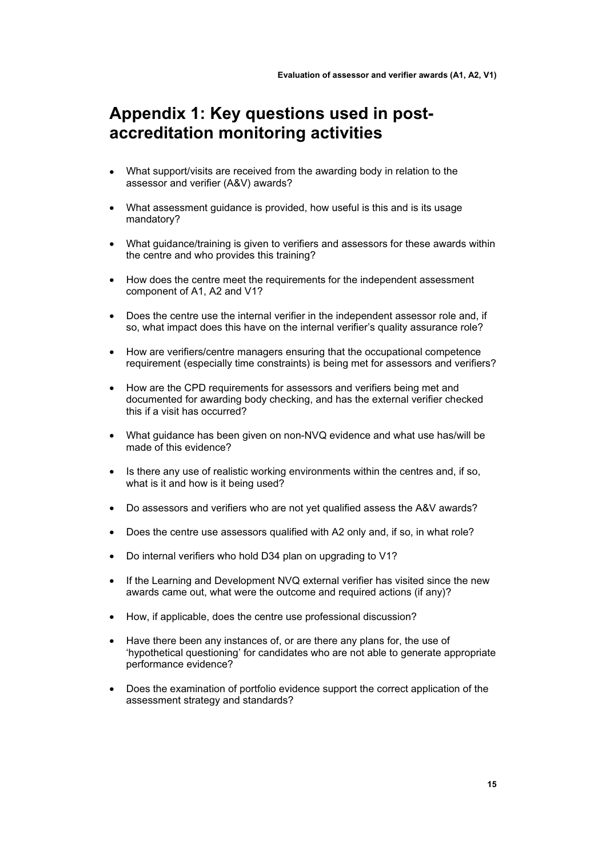### **Appendix 1: Key questions used in postaccreditation monitoring activities**

- What support/visits are received from the awarding body in relation to the assessor and verifier (A&V) awards?
- What assessment quidance is provided, how useful is this and is its usage mandatory?
- What guidance/training is given to verifiers and assessors for these awards within the centre and who provides this training?
- How does the centre meet the requirements for the independent assessment component of A1, A2 and V1?
- Does the centre use the internal verifier in the independent assessor role and, if so, what impact does this have on the internal verifier's quality assurance role?
- How are verifiers/centre managers ensuring that the occupational competence requirement (especially time constraints) is being met for assessors and verifiers?
- How are the CPD requirements for assessors and verifiers being met and documented for awarding body checking, and has the external verifier checked this if a visit has occurred?
- What guidance has been given on non-NVQ evidence and what use has/will be made of this evidence?
- Is there any use of realistic working environments within the centres and, if so, what is it and how is it being used?
- Do assessors and verifiers who are not yet qualified assess the A&V awards?
- Does the centre use assessors qualified with A2 only and, if so, in what role?
- Do internal verifiers who hold D34 plan on upgrading to V1?
- If the Learning and Development NVQ external verifier has visited since the new awards came out, what were the outcome and required actions (if any)?
- How, if applicable, does the centre use professional discussion?
- Have there been any instances of, or are there any plans for, the use of 'hypothetical questioning' for candidates who are not able to generate appropriate performance evidence?
- Does the examination of portfolio evidence support the correct application of the assessment strategy and standards?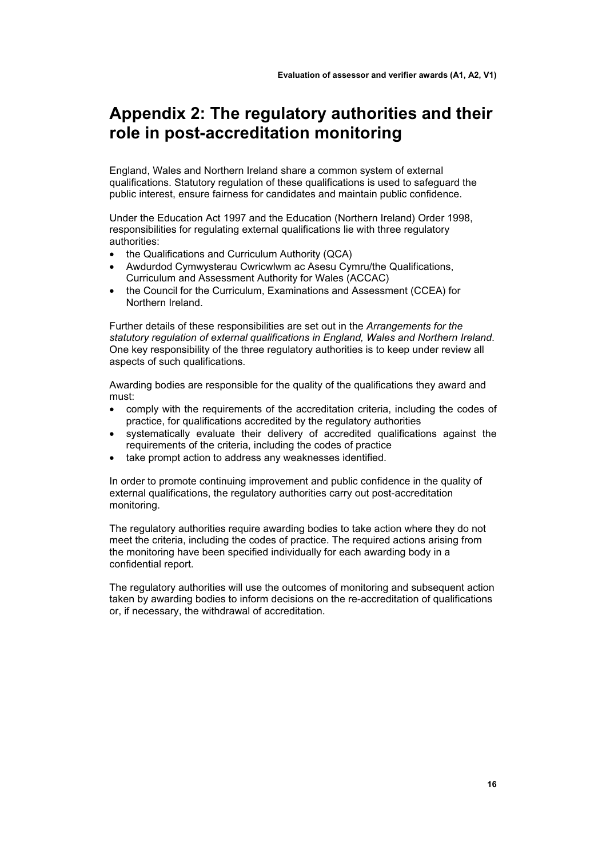### **Appendix 2: The regulatory authorities and their role in post-accreditation monitoring**

England, Wales and Northern Ireland share a common system of external qualifications. Statutory regulation of these qualifications is used to safeguard the public interest, ensure fairness for candidates and maintain public confidence.

Under the Education Act 1997 and the Education (Northern Ireland) Order 1998, responsibilities for regulating external qualifications lie with three regulatory authorities:

- the Qualifications and Curriculum Authority (QCA)
- Awdurdod Cymwysterau Cwricwlwm ac Asesu Cymru/the Qualifications, Curriculum and Assessment Authority for Wales (ACCAC)
- the Council for the Curriculum, Examinations and Assessment (CCEA) for Northern Ireland.

Further details of these responsibilities are set out in the *Arrangements for the statutory regulation of external qualifications in England, Wales and Northern Ireland*. One key responsibility of the three regulatory authorities is to keep under review all aspects of such qualifications.

Awarding bodies are responsible for the quality of the qualifications they award and must:

- comply with the requirements of the accreditation criteria, including the codes of practice, for qualifications accredited by the regulatory authorities
- systematically evaluate their delivery of accredited qualifications against the requirements of the criteria, including the codes of practice
- take prompt action to address any weaknesses identified.

In order to promote continuing improvement and public confidence in the quality of external qualifications, the regulatory authorities carry out post-accreditation monitoring.

The regulatory authorities require awarding bodies to take action where they do not meet the criteria, including the codes of practice. The required actions arising from the monitoring have been specified individually for each awarding body in a confidential report.

The regulatory authorities will use the outcomes of monitoring and subsequent action taken by awarding bodies to inform decisions on the re-accreditation of qualifications or, if necessary, the withdrawal of accreditation.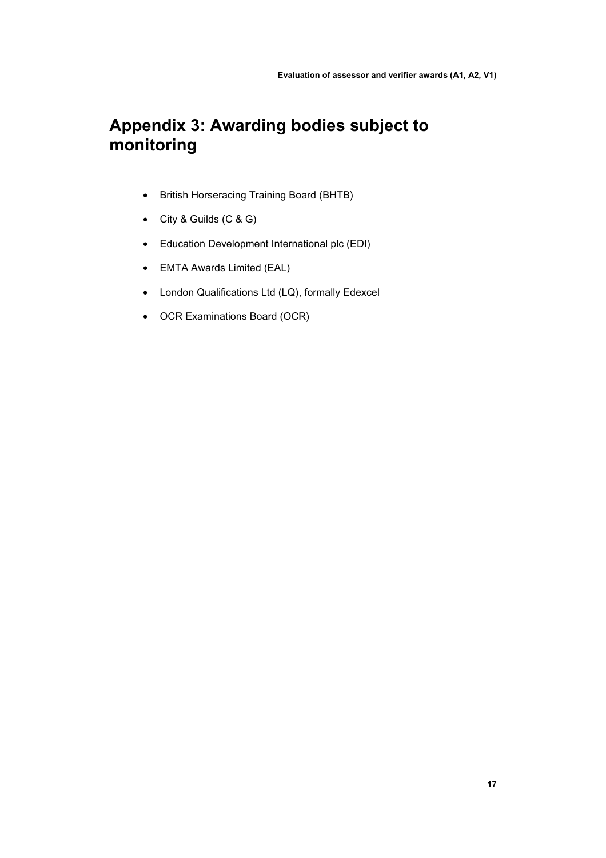## **Appendix 3: Awarding bodies subject to monitoring**

- British Horseracing Training Board (BHTB)
- City & Guilds (C & G)
- Education Development International plc (EDI)
- EMTA Awards Limited (EAL)
- London Qualifications Ltd (LQ), formally Edexcel
- OCR Examinations Board (OCR)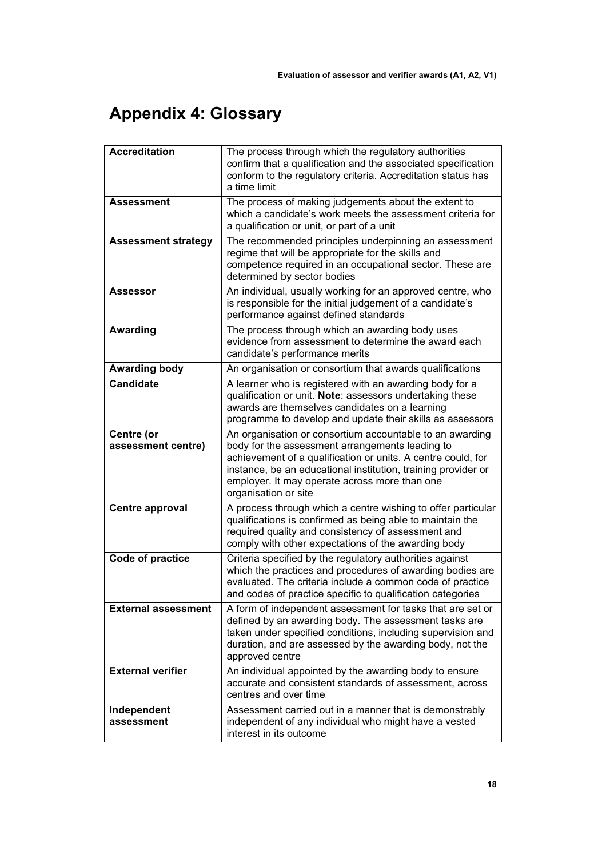# **Appendix 4: Glossary**

| <b>Accreditation</b>             | The process through which the regulatory authorities<br>confirm that a qualification and the associated specification<br>conform to the regulatory criteria. Accreditation status has<br>a time limit                                                                                                                 |
|----------------------------------|-----------------------------------------------------------------------------------------------------------------------------------------------------------------------------------------------------------------------------------------------------------------------------------------------------------------------|
| <b>Assessment</b>                | The process of making judgements about the extent to<br>which a candidate's work meets the assessment criteria for<br>a qualification or unit, or part of a unit                                                                                                                                                      |
| <b>Assessment strategy</b>       | The recommended principles underpinning an assessment<br>regime that will be appropriate for the skills and<br>competence required in an occupational sector. These are<br>determined by sector bodies                                                                                                                |
| Assessor                         | An individual, usually working for an approved centre, who<br>is responsible for the initial judgement of a candidate's<br>performance against defined standards                                                                                                                                                      |
| Awarding                         | The process through which an awarding body uses<br>evidence from assessment to determine the award each<br>candidate's performance merits                                                                                                                                                                             |
| <b>Awarding body</b>             | An organisation or consortium that awards qualifications                                                                                                                                                                                                                                                              |
| <b>Candidate</b>                 | A learner who is registered with an awarding body for a<br>qualification or unit. Note: assessors undertaking these<br>awards are themselves candidates on a learning<br>programme to develop and update their skills as assessors                                                                                    |
| Centre (or<br>assessment centre) | An organisation or consortium accountable to an awarding<br>body for the assessment arrangements leading to<br>achievement of a qualification or units. A centre could, for<br>instance, be an educational institution, training provider or<br>employer. It may operate across more than one<br>organisation or site |
| <b>Centre approval</b>           | A process through which a centre wishing to offer particular<br>qualifications is confirmed as being able to maintain the<br>required quality and consistency of assessment and<br>comply with other expectations of the awarding body                                                                                |
| <b>Code of practice</b>          | Criteria specified by the regulatory authorities against<br>which the practices and procedures of awarding bodies are<br>evaluated. The criteria include a common code of practice<br>and codes of practice specific to qualification categories                                                                      |
| <b>External assessment</b>       | A form of independent assessment for tasks that are set or<br>defined by an awarding body. The assessment tasks are<br>taken under specified conditions, including supervision and<br>duration, and are assessed by the awarding body, not the<br>approved centre                                                     |
| <b>External verifier</b>         | An individual appointed by the awarding body to ensure<br>accurate and consistent standards of assessment, across<br>centres and over time                                                                                                                                                                            |
| Independent<br>assessment        | Assessment carried out in a manner that is demonstrably<br>independent of any individual who might have a vested<br>interest in its outcome                                                                                                                                                                           |